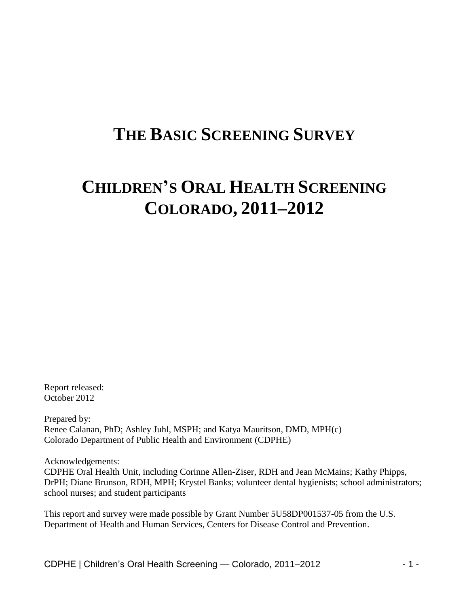## **THE BASIC SCREENING SURVEY**

# **CHILDREN'S ORAL HEALTH SCREENING COLORADO, 2011–2012**

Report released: October 2012

Prepared by: Renee Calanan, PhD; Ashley Juhl, MSPH; and Katya Mauritson, DMD, MPH(c) Colorado Department of Public Health and Environment (CDPHE)

Acknowledgements:

CDPHE Oral Health Unit, including Corinne Allen-Ziser, RDH and Jean McMains; Kathy Phipps, DrPH; Diane Brunson, RDH, MPH; Krystel Banks; volunteer dental hygienists; school administrators; school nurses; and student participants

This report and survey were made possible by Grant Number 5U58DP001537-05 from the U.S. Department of Health and Human Services, Centers for Disease Control and Prevention.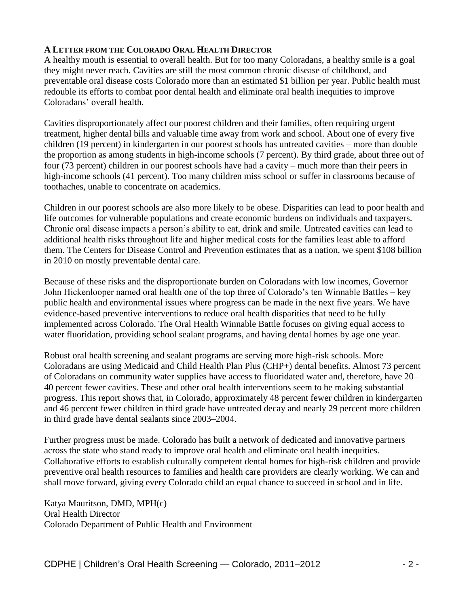#### **A LETTER FROM THE COLORADO ORAL HEALTH DIRECTOR**

A healthy mouth is essential to overall health. But for too many Coloradans, a healthy smile is a goal they might never reach. Cavities are still the most common chronic disease of childhood, and preventable oral disease costs Colorado more than an estimated \$1 billion per year. Public health must redouble its efforts to combat poor dental health and eliminate oral health inequities to improve Coloradans' overall health.

Cavities disproportionately affect our poorest children and their families, often requiring urgent treatment, higher dental bills and valuable time away from work and school. About one of every five children (19 percent) in kindergarten in our poorest schools has untreated cavities – more than double the proportion as among students in high-income schools (7 percent). By third grade, about three out of four (73 percent) children in our poorest schools have had a cavity – much more than their peers in high-income schools (41 percent). Too many children miss school or suffer in classrooms because of toothaches, unable to concentrate on academics.

Children in our poorest schools are also more likely to be obese. Disparities can lead to poor health and life outcomes for vulnerable populations and create economic burdens on individuals and taxpayers. Chronic oral disease impacts a person's ability to eat, drink and smile. Untreated cavities can lead to additional health risks throughout life and higher medical costs for the families least able to afford them. The Centers for Disease Control and Prevention estimates that as a nation, we spent \$108 billion in 2010 on mostly preventable dental care.

Because of these risks and the disproportionate burden on Coloradans with low incomes, Governor John Hickenlooper named oral health one of the top three of Colorado's ten Winnable Battles – key public health and environmental issues where progress can be made in the next five years. We have evidence-based preventive interventions to reduce oral health disparities that need to be fully implemented across Colorado. The Oral Health Winnable Battle focuses on giving equal access to water fluoridation, providing school sealant programs, and having dental homes by age one year.

Robust oral health screening and sealant programs are serving more high-risk schools. More Coloradans are using Medicaid and Child Health Plan Plus (CHP+) dental benefits. Almost 73 percent of Coloradans on community water supplies have access to fluoridated water and, therefore, have 20– 40 percent fewer cavities. These and other oral health interventions seem to be making substantial progress. This report shows that, in Colorado, approximately 48 percent fewer children in kindergarten and 46 percent fewer children in third grade have untreated decay and nearly 29 percent more children in third grade have dental sealants since 2003–2004.

Further progress must be made. Colorado has built a network of dedicated and innovative partners across the state who stand ready to improve oral health and eliminate oral health inequities. Collaborative efforts to establish culturally competent dental homes for high-risk children and provide preventive oral health resources to families and health care providers are clearly working. We can and shall move forward, giving every Colorado child an equal chance to succeed in school and in life.

Katya Mauritson, DMD, MPH(c) Oral Health Director Colorado Department of Public Health and Environment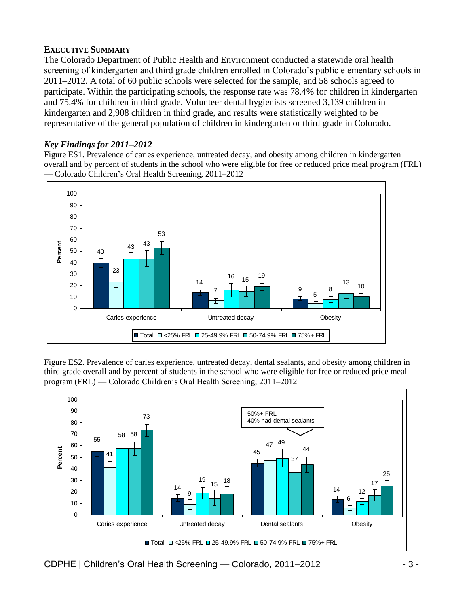#### **EXECUTIVE SUMMARY**

The Colorado Department of Public Health and Environment conducted a statewide oral health screening of kindergarten and third grade children enrolled in Colorado's public elementary schools in 2011–2012. A total of 60 public schools were selected for the sample, and 58 schools agreed to participate. Within the participating schools, the response rate was 78.4% for children in kindergarten and 75.4% for children in third grade. Volunteer dental hygienists screened 3,139 children in kindergarten and 2,908 children in third grade, and results were statistically weighted to be representative of the general population of children in kindergarten or third grade in Colorado.

### *Key Findings for 2011–2012*

Figure ES1. Prevalence of caries experience, untreated decay, and obesity among children in kindergarten overall and by percent of students in the school who were eligible for free or reduced price meal program (FRL) — Colorado Children's Oral Health Screening, 2011–2012



Figure ES2. Prevalence of caries experience, untreated decay, dental sealants, and obesity among children in third grade overall and by percent of students in the school who were eligible for free or reduced price meal program (FRL) — Colorado Children's Oral Health Screening, 2011–2012



CDPHE | Children's Oral Health Screening — Colorado, 2011–2012 - 3 -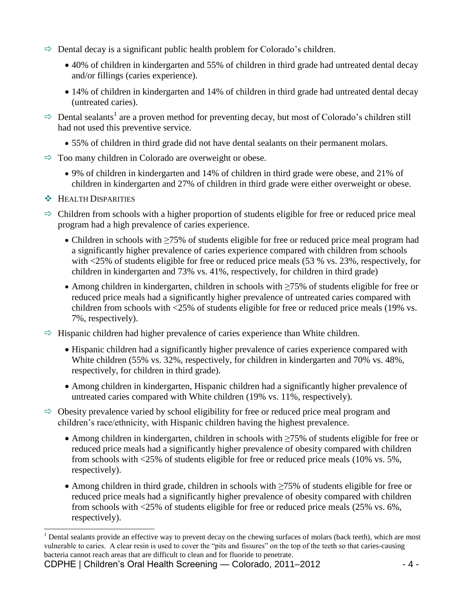- $\Rightarrow$  Dental decay is a significant public health problem for Colorado's children.
	- 40% of children in kindergarten and 55% of children in third grade had untreated dental decay and/or fillings (caries experience).
	- 14% of children in kindergarten and 14% of children in third grade had untreated dental decay (untreated caries).
- $\Rightarrow$  Dental sealants<sup>1</sup> are a proven method for preventing decay, but most of Colorado's children still had not used this preventive service.
	- 55% of children in third grade did not have dental sealants on their permanent molars.
- $\Rightarrow$  Too many children in Colorado are overweight or obese.
	- 9% of children in kindergarten and 14% of children in third grade were obese, and 21% of children in kindergarten and 27% of children in third grade were either overweight or obese.
- **HEALTH DISPARITIES**

l

- $\Rightarrow$  Children from schools with a higher proportion of students eligible for free or reduced price meal program had a high prevalence of caries experience.
	- Children in schools with ≥75% of students eligible for free or reduced price meal program had a significantly higher prevalence of caries experience compared with children from schools with <25% of students eligible for free or reduced price meals (53 % vs. 23%, respectively, for children in kindergarten and 73% vs. 41%, respectively, for children in third grade)
	- Among children in kindergarten, children in schools with ≥75% of students eligible for free or reduced price meals had a significantly higher prevalence of untreated caries compared with children from schools with <25% of students eligible for free or reduced price meals (19% vs. 7%, respectively).
- $\Rightarrow$  Hispanic children had higher prevalence of caries experience than White children.
	- Hispanic children had a significantly higher prevalence of caries experience compared with White children (55% vs. 32%, respectively, for children in kindergarten and 70% vs. 48%, respectively, for children in third grade).
	- Among children in kindergarten, Hispanic children had a significantly higher prevalence of untreated caries compared with White children (19% vs. 11%, respectively).
- $\Rightarrow$  Obesity prevalence varied by school eligibility for free or reduced price meal program and children's race/ethnicity, with Hispanic children having the highest prevalence.
	- Among children in kindergarten, children in schools with  $\geq$ 75% of students eligible for free or reduced price meals had a significantly higher prevalence of obesity compared with children from schools with <25% of students eligible for free or reduced price meals (10% vs. 5%, respectively).
	- Among children in third grade, children in schools with ≥75% of students eligible for free or reduced price meals had a significantly higher prevalence of obesity compared with children from schools with <25% of students eligible for free or reduced price meals (25% vs. 6%, respectively).

CDPHE | Children's Oral Health Screening — Colorado, 2011–2012 - 4 -

 $1$  Dental sealants provide an effective way to prevent decay on the chewing surfaces of molars (back teeth), which are most vulnerable to caries. A clear resin is used to cover the "pits and fissures" on the top of the teeth so that caries-causing bacteria cannot reach areas that are difficult to clean and for fluoride to penetrate.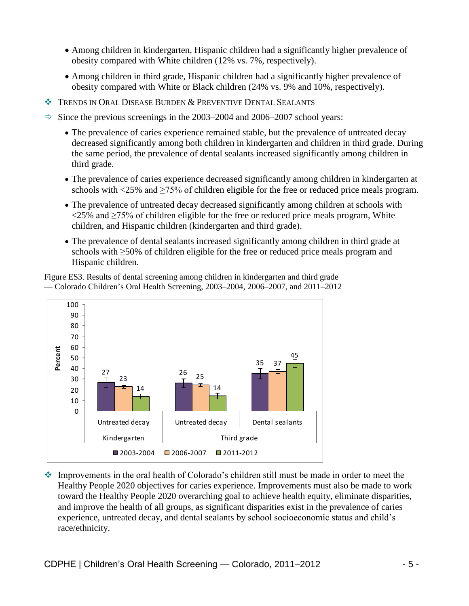- Among children in kindergarten, Hispanic children had a significantly higher prevalence of obesity compared with White children (12% vs. 7%, respectively).
- Among children in third grade, Hispanic children had a significantly higher prevalence of obesity compared with White or Black children (24% vs. 9% and 10%, respectively).
- **TRENDS IN ORAL DISEASE BURDEN & PREVENTIVE DENTAL SEALANTS**
- $\Rightarrow$  Since the previous screenings in the 2003–2004 and 2006–2007 school years:
	- The prevalence of caries experience remained stable, but the prevalence of untreated decay decreased significantly among both children in kindergarten and children in third grade. During the same period, the prevalence of dental sealants increased significantly among children in third grade.
	- The prevalence of caries experience decreased significantly among children in kindergarten at schools with  $\langle 25\% \rangle$  and  $\geq 75\%$  of children eligible for the free or reduced price meals program.
	- The prevalence of untreated decay decreased significantly among children at schools with <25% and ≥75% of children eligible for the free or reduced price meals program, White children, and Hispanic children (kindergarten and third grade).
	- The prevalence of dental sealants increased significantly among children in third grade at schools with ≥50% of children eligible for the free or reduced price meals program and Hispanic children.

Figure ES3. Results of dental screening among children in kindergarten and third grade — Colorado Children's Oral Health Screening, 2003–2004, 2006–2007, and 2011–2012



 Improvements in the oral health of Colorado's children still must be made in order to meet the Healthy People 2020 objectives for caries experience. Improvements must also be made to work toward the Healthy People 2020 overarching goal to achieve health equity, eliminate disparities, and improve the health of all groups, as significant disparities exist in the prevalence of caries experience, untreated decay, and dental sealants by school socioeconomic status and child's race/ethnicity.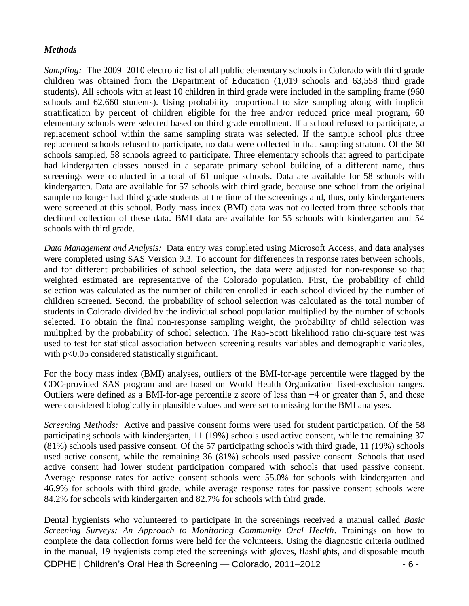#### *Methods*

*Sampling:* The 2009–2010 electronic list of all public elementary schools in Colorado with third grade children was obtained from the Department of Education (1,019 schools and 63,558 third grade students). All schools with at least 10 children in third grade were included in the sampling frame (960 schools and 62,660 students). Using probability proportional to size sampling along with implicit stratification by percent of children eligible for the free and/or reduced price meal program, 60 elementary schools were selected based on third grade enrollment. If a school refused to participate, a replacement school within the same sampling strata was selected. If the sample school plus three replacement schools refused to participate, no data were collected in that sampling stratum. Of the 60 schools sampled, 58 schools agreed to participate. Three elementary schools that agreed to participate had kindergarten classes housed in a separate primary school building of a different name, thus screenings were conducted in a total of 61 unique schools. Data are available for 58 schools with kindergarten. Data are available for 57 schools with third grade, because one school from the original sample no longer had third grade students at the time of the screenings and, thus, only kindergarteners were screened at this school. Body mass index (BMI) data was not collected from three schools that declined collection of these data. BMI data are available for 55 schools with kindergarten and 54 schools with third grade.

*Data Management and Analysis:* Data entry was completed using Microsoft Access, and data analyses were completed using SAS Version 9.3. To account for differences in response rates between schools, and for different probabilities of school selection, the data were adjusted for non-response so that weighted estimated are representative of the Colorado population. First, the probability of child selection was calculated as the number of children enrolled in each school divided by the number of children screened. Second, the probability of school selection was calculated as the total number of students in Colorado divided by the individual school population multiplied by the number of schools selected. To obtain the final non-response sampling weight, the probability of child selection was multiplied by the probability of school selection. The Rao-Scott likelihood ratio chi-square test was used to test for statistical association between screening results variables and demographic variables, with p<0.05 considered statistically significant.

For the body mass index (BMI) analyses, outliers of the BMI-for-age percentile were flagged by the CDC-provided SAS program and are based on World Health Organization fixed-exclusion ranges. Outliers were defined as a BMI-for-age percentile z score of less than −4 or greater than 5, and these were considered biologically implausible values and were set to missing for the BMI analyses.

*Screening Methods:* Active and passive consent forms were used for student participation. Of the 58 participating schools with kindergarten, 11 (19%) schools used active consent, while the remaining 37 (81%) schools used passive consent. Of the 57 participating schools with third grade, 11 (19%) schools used active consent, while the remaining 36 (81%) schools used passive consent. Schools that used active consent had lower student participation compared with schools that used passive consent. Average response rates for active consent schools were 55.0% for schools with kindergarten and 46.9% for schools with third grade, while average response rates for passive consent schools were 84.2% for schools with kindergarten and 82.7% for schools with third grade.

CDPHE | Children's Oral Health Screening — Colorado, 2011–2012 - 6 - Dental hygienists who volunteered to participate in the screenings received a manual called *Basic Screening Surveys: An Approach to Monitoring Community Oral Health*. Trainings on how to complete the data collection forms were held for the volunteers. Using the diagnostic criteria outlined in the manual, 19 hygienists completed the screenings with gloves, flashlights, and disposable mouth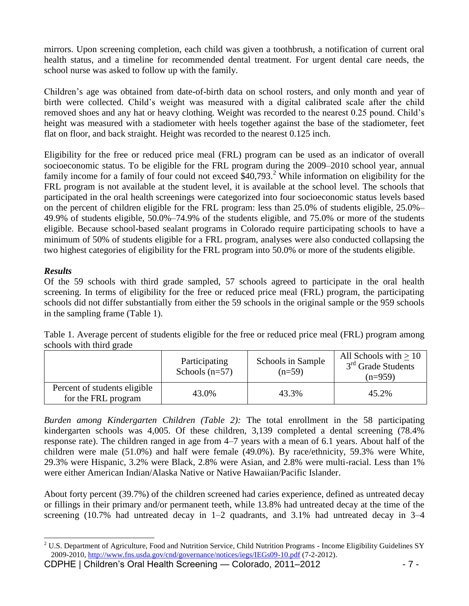mirrors. Upon screening completion, each child was given a toothbrush, a notification of current oral health status, and a timeline for recommended dental treatment. For urgent dental care needs, the school nurse was asked to follow up with the family.

Children's age was obtained from date-of-birth data on school rosters, and only month and year of birth were collected. Child's weight was measured with a digital calibrated scale after the child removed shoes and any hat or heavy clothing. Weight was recorded to the nearest 0.25 pound. Child's height was measured with a stadiometer with heels together against the base of the stadiometer, feet flat on floor, and back straight. Height was recorded to the nearest 0.125 inch.

Eligibility for the free or reduced price meal (FRL) program can be used as an indicator of overall socioeconomic status. To be eligible for the FRL program during the 2009–2010 school year, annual family income for a family of four could not exceed  $$40,793<sup>2</sup>$ . While information on eligibility for the FRL program is not available at the student level, it is available at the school level. The schools that participated in the oral health screenings were categorized into four socioeconomic status levels based on the percent of children eligible for the FRL program: less than 25.0% of students eligible, 25.0%– 49.9% of students eligible, 50.0%–74.9% of the students eligible, and 75.0% or more of the students eligible. Because school-based sealant programs in Colorado require participating schools to have a minimum of 50% of students eligible for a FRL program, analyses were also conducted collapsing the two highest categories of eligibility for the FRL program into 50.0% or more of the students eligible.

#### *Results*

l

Of the 59 schools with third grade sampled, 57 schools agreed to participate in the oral health screening. In terms of eligibility for the free or reduced price meal (FRL) program, the participating schools did not differ substantially from either the 59 schools in the original sample or the 959 schools in the sampling frame (Table 1).

Table 1. Average percent of students eligible for the free or reduced price meal (FRL) program among schools with third grade

|                                                     | Participating<br>Schools $(n=57)$ | Schools in Sample<br>$(n=59)$ | All Schools with $> 10$<br>$3rd$ Grade Students<br>$(n=959)$ |
|-----------------------------------------------------|-----------------------------------|-------------------------------|--------------------------------------------------------------|
| Percent of students eligible<br>for the FRL program | 43.0%                             | 43.3%                         | 45.2%                                                        |

*Burden among Kindergarten Children (Table 2):* The total enrollment in the 58 participating kindergarten schools was 4,005. Of these children, 3,139 completed a dental screening (78.4% response rate). The children ranged in age from 4–7 years with a mean of 6.1 years. About half of the children were male (51.0%) and half were female (49.0%). By race/ethnicity, 59.3% were White, 29.3% were Hispanic, 3.2% were Black, 2.8% were Asian, and 2.8% were multi-racial. Less than 1% were either American Indian/Alaska Native or Native Hawaiian/Pacific Islander.

About forty percent (39.7%) of the children screened had caries experience, defined as untreated decay or fillings in their primary and/or permanent teeth, while 13.8% had untreated decay at the time of the screening  $(10.7\%$  had untreated decay in  $1-2$  quadrants, and  $3.1\%$  had untreated decay in  $3-4$ 

CDPHE | Children's Oral Health Screening — Colorado, 2011–2012 - 7 -

 $2$  U.S. Department of Agriculture, Food and Nutrition Service, Child Nutrition Programs - Income Eligibility Guidelines SY 2009-2010,<http://www.fns.usda.gov/cnd/governance/notices/iegs/IEGs09-10.pdf> (7-2-2012).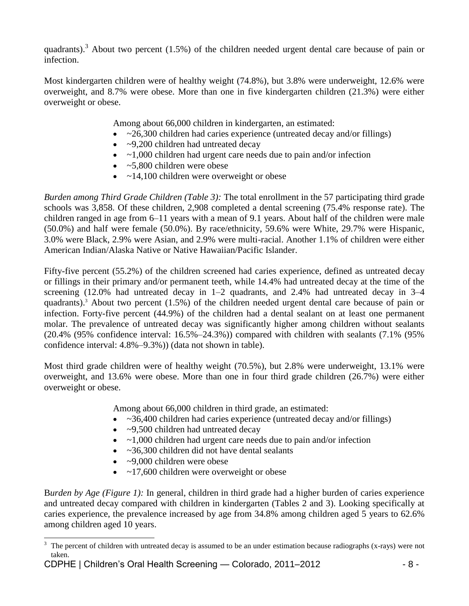quadrants).<sup>3</sup> About two percent (1.5%) of the children needed urgent dental care because of pain or infection.

Most kindergarten children were of healthy weight (74.8%), but 3.8% were underweight, 12.6% were overweight, and 8.7% were obese. More than one in five kindergarten children (21.3%) were either overweight or obese.

Among about 66,000 children in kindergarten, an estimated:

- $\sim$   $\approx$  26,300 children had caries experience (untreated decay and/or fillings)
- $\bullet$  ~9,200 children had untreated decay
- $\bullet$  ~1,000 children had urgent care needs due to pain and/or infection
- $\bullet$  ~5,800 children were obese
- $\bullet$  ~14,100 children were overweight or obese

*Burden among Third Grade Children (Table 3):* The total enrollment in the 57 participating third grade schools was 3,858. Of these children, 2,908 completed a dental screening (75.4% response rate). The children ranged in age from 6–11 years with a mean of 9.1 years. About half of the children were male (50.0%) and half were female (50.0%). By race/ethnicity, 59.6% were White, 29.7% were Hispanic, 3.0% were Black, 2.9% were Asian, and 2.9% were multi-racial. Another 1.1% of children were either American Indian/Alaska Native or Native Hawaiian/Pacific Islander.

Fifty-five percent (55.2%) of the children screened had caries experience, defined as untreated decay or fillings in their primary and/or permanent teeth, while 14.4% had untreated decay at the time of the screening (12.0% had untreated decay in 1–2 quadrants, and 2.4% had untreated decay in 3–4 quadrants).<sup>3</sup> About two percent (1.5%) of the children needed urgent dental care because of pain or infection. Forty-five percent (44.9%) of the children had a dental sealant on at least one permanent molar. The prevalence of untreated decay was significantly higher among children without sealants (20.4% (95% confidence interval: 16.5%–24.3%)) compared with children with sealants (7.1% (95% confidence interval: 4.8%–9.3%)) (data not shown in table).

Most third grade children were of healthy weight (70.5%), but 2.8% were underweight, 13.1% were overweight, and 13.6% were obese. More than one in four third grade children (26.7%) were either overweight or obese.

Among about 66,000 children in third grade, an estimated:

- $\sim$   $\sim$  36,400 children had caries experience (untreated decay and/or fillings)
- $\bullet$  ~9,500 children had untreated decay
- $\bullet$  ~1,000 children had urgent care needs due to pain and/or infection
- $\sim$   $\approx$  36,300 children did not have dental sealants
- $\bullet$  ~9,000 children were obese
- $\sim 17,600$  children were overweight or obese

B*urden by Age (Figure 1):* In general, children in third grade had a higher burden of caries experience and untreated decay compared with children in kindergarten (Tables 2 and 3). Looking specifically at caries experience, the prevalence increased by age from 34.8% among children aged 5 years to 62.6% among children aged 10 years.

CDPHE | Children's Oral Health Screening — Colorado, 2011–2012 - 8 -

l  $3\text{ }$  The percent of children with untreated decay is assumed to be an under estimation because radiographs (x-rays) were not taken.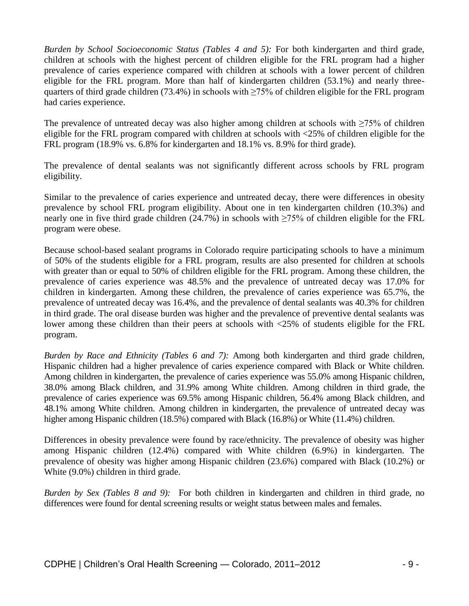*Burden by School Socioeconomic Status (Tables 4 and 5):* For both kindergarten and third grade, children at schools with the highest percent of children eligible for the FRL program had a higher prevalence of caries experience compared with children at schools with a lower percent of children eligible for the FRL program. More than half of kindergarten children (53.1%) and nearly threequarters of third grade children (73.4%) in schools with  $\geq$ 75% of children eligible for the FRL program had caries experience.

The prevalence of untreated decay was also higher among children at schools with ≥75% of children eligible for the FRL program compared with children at schools with <25% of children eligible for the FRL program (18.9% vs. 6.8% for kindergarten and 18.1% vs. 8.9% for third grade).

The prevalence of dental sealants was not significantly different across schools by FRL program eligibility.

Similar to the prevalence of caries experience and untreated decay, there were differences in obesity prevalence by school FRL program eligibility. About one in ten kindergarten children (10.3%) and nearly one in five third grade children (24.7%) in schools with  $\geq$ 75% of children eligible for the FRL program were obese.

Because school-based sealant programs in Colorado require participating schools to have a minimum of 50% of the students eligible for a FRL program, results are also presented for children at schools with greater than or equal to 50% of children eligible for the FRL program. Among these children, the prevalence of caries experience was 48.5% and the prevalence of untreated decay was 17.0% for children in kindergarten. Among these children, the prevalence of caries experience was 65.7%, the prevalence of untreated decay was 16.4%, and the prevalence of dental sealants was 40.3% for children in third grade. The oral disease burden was higher and the prevalence of preventive dental sealants was lower among these children than their peers at schools with <25% of students eligible for the FRL program.

*Burden by Race and Ethnicity (Tables 6 and 7):* Among both kindergarten and third grade children, Hispanic children had a higher prevalence of caries experience compared with Black or White children. Among children in kindergarten, the prevalence of caries experience was 55.0% among Hispanic children, 38.0% among Black children, and 31.9% among White children. Among children in third grade, the prevalence of caries experience was 69.5% among Hispanic children, 56.4% among Black children, and 48.1% among White children. Among children in kindergarten, the prevalence of untreated decay was higher among Hispanic children (18.5%) compared with Black (16.8%) or White (11.4%) children.

Differences in obesity prevalence were found by race/ethnicity. The prevalence of obesity was higher among Hispanic children (12.4%) compared with White children (6.9%) in kindergarten. The prevalence of obesity was higher among Hispanic children (23.6%) compared with Black (10.2%) or White (9.0%) children in third grade.

*Burden by Sex (Tables 8 and 9):* For both children in kindergarten and children in third grade, no differences were found for dental screening results or weight status between males and females.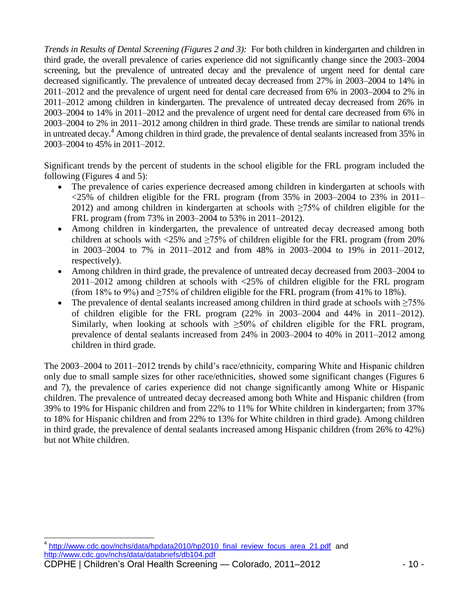*Trends in Results of Dental Screening (Figures 2 and 3):* For both children in kindergarten and children in third grade, the overall prevalence of caries experience did not significantly change since the 2003–2004 screening, but the prevalence of untreated decay and the prevalence of urgent need for dental care decreased significantly. The prevalence of untreated decay decreased from 27% in 2003–2004 to 14% in 2011–2012 and the prevalence of urgent need for dental care decreased from 6% in 2003–2004 to 2% in 2011–2012 among children in kindergarten. The prevalence of untreated decay decreased from 26% in 2003–2004 to 14% in 2011–2012 and the prevalence of urgent need for dental care decreased from 6% in 2003–2004 to 2% in 2011–2012 among children in third grade. These trends are similar to national trends in untreated decay.<sup>4</sup> Among children in third grade, the prevalence of dental sealants increased from 35% in 2003–2004 to 45% in 2011–2012.

Significant trends by the percent of students in the school eligible for the FRL program included the following (Figures 4 and 5):

- The prevalence of caries experience decreased among children in kindergarten at schools with  $\langle 25\%$  of children eligible for the FRL program (from 35% in 2003–2004 to 23% in 2011– 2012) and among children in kindergarten at schools with ≥75% of children eligible for the FRL program (from 73% in 2003–2004 to 53% in 2011–2012).
- Among children in kindergarten, the prevalence of untreated decay decreased among both children at schools with  $\langle 25\% \rangle$  and  $\langle 25\% \rangle$  of children eligible for the FRL program (from 20%) in 2003–2004 to 7% in 2011–2012 and from 48% in 2003–2004 to 19% in 2011–2012, respectively).
- Among children in third grade, the prevalence of untreated decay decreased from 2003–2004 to 2011–2012 among children at schools with <25% of children eligible for the FRL program (from 18% to 9%) and ≥75% of children eligible for the FRL program (from 41% to 18%).
- The prevalence of dental sealants increased among children in third grade at schools with  $\geq 75\%$ of children eligible for the FRL program (22% in 2003–2004 and 44% in 2011–2012). Similarly, when looking at schools with  $\geq 50\%$  of children eligible for the FRL program, prevalence of dental sealants increased from 24% in 2003–2004 to 40% in 2011–2012 among children in third grade.

The 2003–2004 to 2011–2012 trends by child's race/ethnicity, comparing White and Hispanic children only due to small sample sizes for other race/ethnicities, showed some significant changes (Figures 6 and 7), the prevalence of caries experience did not change significantly among White or Hispanic children. The prevalence of untreated decay decreased among both White and Hispanic children (from 39% to 19% for Hispanic children and from 22% to 11% for White children in kindergarten; from 37% to 18% for Hispanic children and from 22% to 13% for White children in third grade). Among children in third grade, the prevalence of dental sealants increased among Hispanic children (from 26% to 42%) but not White children.

CDPHE | Children's Oral Health Screening — Colorado, 2011–2012 - 10 -

<sup>&</sup>lt;sup>4</sup> [http://www.cdc.gov/nchs/data/hpdata2010/hp2010\\_final\\_review\\_focus\\_area\\_21.pdf](http://www.cdc.gov/nchs/data/hpdata2010/hp2010_final_review_focus_area_21.pdf) and <http://www.cdc.gov/nchs/data/databriefs/db104.pdf>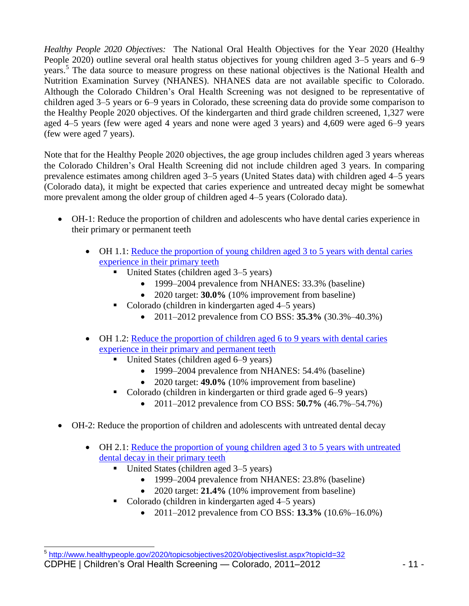*Healthy People 2020 Objectives:* The National Oral Health Objectives for the Year 2020 (Healthy People 2020) outline several oral health status objectives for young children aged 3–5 years and 6–9 years.<sup>5</sup> The data source to measure progress on these national objectives is the National Health and Nutrition Examination Survey (NHANES). NHANES data are not available specific to Colorado. Although the Colorado Children's Oral Health Screening was not designed to be representative of children aged 3–5 years or 6–9 years in Colorado, these screening data do provide some comparison to the Healthy People 2020 objectives. Of the kindergarten and third grade children screened, 1,327 were aged 4–5 years (few were aged 4 years and none were aged 3 years) and 4,609 were aged 6–9 years (few were aged 7 years).

Note that for the Healthy People 2020 objectives, the age group includes children aged 3 years whereas the Colorado Children's Oral Health Screening did not include children aged 3 years. In comparing prevalence estimates among children aged 3–5 years (United States data) with children aged 4–5 years (Colorado data), it might be expected that caries experience and untreated decay might be somewhat more prevalent among the older group of children aged 4–5 years (Colorado data).

- OH-1: Reduce the proportion of children and adolescents who have dental caries experience in their primary or permanent teeth
	- OH 1.1: [Reduce the proportion of young children aged 3 to 5 years with dental caries](http://www.healthypeople.gov/2020/topicsobjectives2020/objectiveslist.aspx?topicId=32)  [experience in their primary teeth](http://www.healthypeople.gov/2020/topicsobjectives2020/objectiveslist.aspx?topicId=32)
		- United States (children aged 3–5 years)
			- 1999–2004 prevalence from NHANES: 33.3% (baseline)
			- 2020 target: **30.0%** (10% improvement from baseline)
		- Colorado (children in kindergarten aged 4–5 years)
			- 2011–2012 prevalence from CO BSS: **35.3%** (30.3%–40.3%)
	- OH 1.2: [Reduce the proportion of children aged 6 to 9 years with dental caries](http://www.healthypeople.gov/2020/topicsobjectives2020/objectiveslist.aspx?topicId=32)  [experience in their primary and permanent teeth](http://www.healthypeople.gov/2020/topicsobjectives2020/objectiveslist.aspx?topicId=32)
		- United States (children aged 6–9 years)
			- 1999–2004 prevalence from NHANES: 54.4% (baseline)
			- 2020 target: **49.0%** (10% improvement from baseline)
		- Colorado (children in kindergarten or third grade aged 6–9 years)
			- 2011–2012 prevalence from CO BSS: **50.7%** (46.7%–54.7%)
- OH-2: Reduce the proportion of children and adolescents with untreated dental decay
	- OH 2.1: Reduce the proportion of young children aged 3 to 5 years with untreated [dental decay in their primary teeth](http://www.healthypeople.gov/2020/topicsobjectives2020/objectiveslist.aspx?topicId=32)
		- United States (children aged 3–5 years)
			- 1999–2004 prevalence from NHANES: 23.8% (baseline)
			- 2020 target: **21.4%** (10% improvement from baseline)
		- Colorado (children in kindergarten aged 4–5 years)
			- 2011–2012 prevalence from CO BSS: **13.3%** (10.6%–16.0%)

CDPHE | Children's Oral Health Screening — Colorado, 2011–2012 - 11 - 5 <http://www.healthypeople.gov/2020/topicsobjectives2020/objectiveslist.aspx?topicId=32>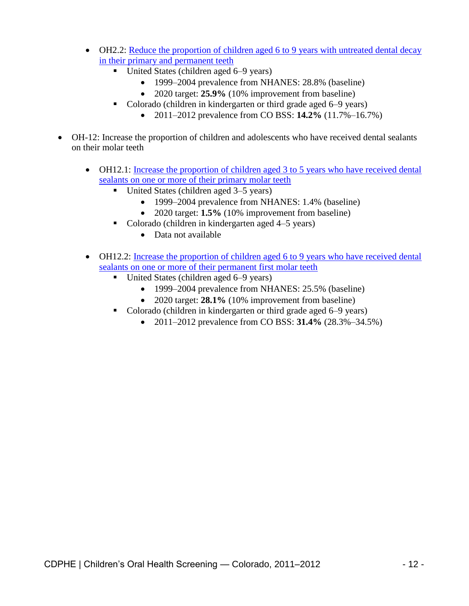- OH2.2: [Reduce the proportion of children aged 6 to 9 years with untreated dental decay](http://www.healthypeople.gov/2020/topicsobjectives2020/objectiveslist.aspx?topicId=32)  [in their primary and permanent teeth](http://www.healthypeople.gov/2020/topicsobjectives2020/objectiveslist.aspx?topicId=32)
	- United States (children aged 6–9 years)
		- 1999–2004 prevalence from NHANES: 28.8% (baseline)
		- 2020 target: **25.9%** (10% improvement from baseline)
	- Colorado (children in kindergarten or third grade aged 6–9 years)
		- 2011–2012 prevalence from CO BSS: **14.2%** (11.7%–16.7%)
- OH-12: Increase the proportion of children and adolescents who have received dental sealants on their molar teeth
	- OH12.1: Increase the proportion of children aged 3 to 5 years who have received dental [sealants on one or more of their primary molar teeth](http://www.healthypeople.gov/2020/topicsobjectives2020/objectiveslist.aspx?topicId=32)
		- United States (children aged 3–5 years)
			- 1999–2004 prevalence from NHANES: 1.4% (baseline)
			- 2020 target: **1.5%** (10% improvement from baseline)
		- Colorado (children in kindergarten aged 4–5 years)
			- Data not available
	- OH12.2: [Increase the proportion of children aged 6 to 9 years who have received dental](http://www.healthypeople.gov/2020/topicsobjectives2020/objectiveslist.aspx?topicId=32)  [sealants on one or more of their permanent first molar teeth](http://www.healthypeople.gov/2020/topicsobjectives2020/objectiveslist.aspx?topicId=32)
		- United States (children aged 6–9 years)
			- 1999–2004 prevalence from NHANES: 25.5% (baseline)
			- 2020 target: **28.1%** (10% improvement from baseline)
		- Colorado (children in kindergarten or third grade aged 6–9 years)
			- 2011–2012 prevalence from CO BSS: **31.4%** (28.3%–34.5%)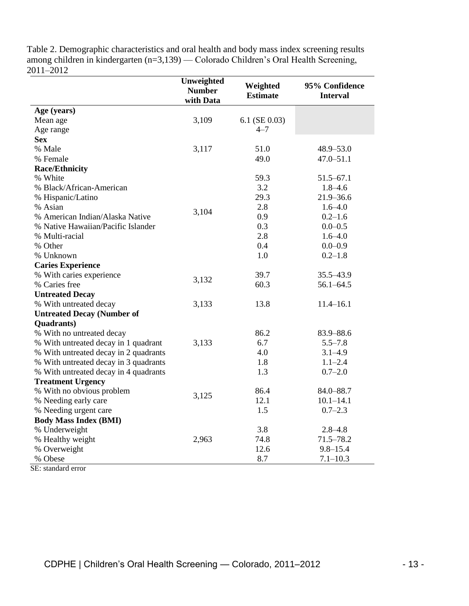Table 2. Demographic characteristics and oral health and body mass index screening results among children in kindergarten (n=3,139) — Colorado Children's Oral Health Screening, 2011–2012

|                                       | Unweighted<br><b>Number</b><br>with Data | Weighted<br><b>Estimate</b> | 95% Confidence<br><b>Interval</b> |
|---------------------------------------|------------------------------------------|-----------------------------|-----------------------------------|
| Age (years)                           |                                          |                             |                                   |
| Mean age                              | 3,109                                    | 6.1 (SE $0.03$ )            |                                   |
| Age range                             |                                          | $4 - 7$                     |                                   |
| <b>Sex</b>                            |                                          |                             |                                   |
| % Male                                | 3,117                                    | 51.0                        | $48.9 - 53.0$                     |
| % Female                              |                                          | 49.0                        | $47.0 - 51.1$                     |
| <b>Race/Ethnicity</b>                 |                                          |                             |                                   |
| % White                               |                                          | 59.3                        | $51.5 - 67.1$                     |
| % Black/African-American              |                                          | 3.2                         | $1.8 - 4.6$                       |
| % Hispanic/Latino                     |                                          | 29.3                        | $21.9 - 36.6$                     |
| % Asian                               | 3,104                                    | 2.8                         | $1.6 - 4.0$                       |
| % American Indian/Alaska Native       |                                          | 0.9                         | $0.2 - 1.6$                       |
| % Native Hawaiian/Pacific Islander    |                                          | 0.3                         | $0.0 - 0.5$                       |
| % Multi-racial                        |                                          | 2.8                         | $1.6 - 4.0$                       |
| % Other                               |                                          | 0.4                         | $0.0 - 0.9$                       |
| % Unknown                             |                                          | 1.0                         | $0.2 - 1.8$                       |
| <b>Caries Experience</b>              |                                          |                             |                                   |
| % With caries experience              | 3,132                                    | 39.7                        | $35.5 - 43.9$                     |
| % Caries free                         |                                          | 60.3                        | $56.1 - 64.5$                     |
| <b>Untreated Decay</b>                |                                          |                             |                                   |
| % With untreated decay                | 3,133                                    | 13.8                        | $11.4 - 16.1$                     |
| <b>Untreated Decay (Number of</b>     |                                          |                             |                                   |
| Quadrants)                            |                                          |                             |                                   |
| % With no untreated decay             |                                          | 86.2                        | $83.9 - 88.6$                     |
| % With untreated decay in 1 quadrant  | 3,133                                    | 6.7                         | $5.5 - 7.8$                       |
| % With untreated decay in 2 quadrants |                                          | 4.0                         | $3.1 - 4.9$                       |
| % With untreated decay in 3 quadrants |                                          | 1.8                         | $1.1 - 2.4$                       |
| % With untreated decay in 4 quadrants |                                          | 1.3                         | $0.7 - 2.0$                       |
| <b>Treatment Urgency</b>              |                                          |                             |                                   |
| % With no obvious problem             | 3,125                                    | 86.4                        | 84.0-88.7                         |
| % Needing early care                  |                                          | 12.1                        | $10.1 - 14.1$                     |
| % Needing urgent care                 |                                          | 1.5                         | $0.7 - 2.3$                       |
| <b>Body Mass Index (BMI)</b>          |                                          |                             |                                   |
| % Underweight                         |                                          | 3.8                         | $2.8 - 4.8$                       |
| % Healthy weight                      | 2,963                                    | 74.8                        | $71.5 - 78.2$                     |
| % Overweight                          |                                          | 12.6                        | $9.8 - 15.4$                      |
| % Obese                               |                                          | 8.7                         | $7.1 - 10.3$                      |

SE: standard error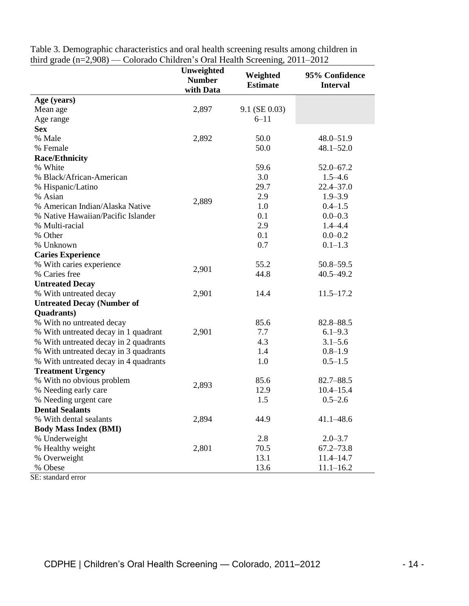|                                       | Unweighted<br><b>Number</b><br>with Data | Weighted<br><b>Estimate</b> | 95% Confidence<br><b>Interval</b> |
|---------------------------------------|------------------------------------------|-----------------------------|-----------------------------------|
| Age (years)                           |                                          |                             |                                   |
| Mean age                              | 2,897                                    | $9.1$ (SE 0.03)             |                                   |
| Age range                             |                                          | $6 - 11$                    |                                   |
| <b>Sex</b>                            |                                          |                             |                                   |
| % Male                                | 2,892                                    | 50.0                        | $48.0 - 51.9$                     |
| % Female                              |                                          | 50.0                        | $48.1 - 52.0$                     |
| <b>Race/Ethnicity</b>                 |                                          |                             |                                   |
| % White                               |                                          | 59.6                        | $52.0 - 67.2$                     |
| % Black/African-American              |                                          | 3.0                         | $1.5 - 4.6$                       |
| % Hispanic/Latino                     |                                          | 29.7                        | $22.4 - 37.0$                     |
| % Asian                               | 2,889                                    | 2.9                         | $1.9 - 3.9$                       |
| % American Indian/Alaska Native       |                                          | 1.0                         | $0.4 - 1.5$                       |
| % Native Hawaiian/Pacific Islander    |                                          | 0.1                         | $0.0 - 0.3$                       |
| % Multi-racial                        |                                          | 2.9                         | $1.4 - 4.4$                       |
| % Other                               |                                          | 0.1                         | $0.0 - 0.2$                       |
| % Unknown                             |                                          | 0.7                         | $0.1 - 1.3$                       |
| <b>Caries Experience</b>              |                                          |                             |                                   |
| % With caries experience              | 2,901                                    | 55.2                        | $50.8 - 59.5$                     |
| % Caries free                         |                                          | 44.8                        | $40.5 - 49.2$                     |
| <b>Untreated Decay</b>                |                                          |                             |                                   |
| % With untreated decay                | 2,901                                    | 14.4                        | $11.5 - 17.2$                     |
| <b>Untreated Decay (Number of</b>     |                                          |                             |                                   |
| <b>Quadrants</b> )                    |                                          |                             |                                   |
| % With no untreated decay             |                                          | 85.6                        | $82.8 - 88.5$                     |
| % With untreated decay in 1 quadrant  | 2,901                                    | 7.7                         | $6.1 - 9.3$                       |
| % With untreated decay in 2 quadrants |                                          | 4.3                         | $3.1 - 5.6$                       |
| % With untreated decay in 3 quadrants |                                          | 1.4                         | $0.8 - 1.9$                       |
| % With untreated decay in 4 quadrants |                                          | 1.0                         | $0.5 - 1.5$                       |
| <b>Treatment Urgency</b>              |                                          |                             |                                   |
| % With no obvious problem             | 2,893                                    | 85.6                        | $82.7 - 88.5$                     |
| % Needing early care                  |                                          | 12.9                        | $10.4 - 15.4$                     |
| % Needing urgent care                 |                                          | 1.5                         | $0.5 - 2.6$                       |
| <b>Dental Sealants</b>                |                                          |                             |                                   |
| % With dental sealants                | 2,894                                    | 44.9                        | $41.1 - 48.6$                     |
| <b>Body Mass Index (BMI)</b>          |                                          |                             |                                   |
| % Underweight                         |                                          | 2.8                         | $2.0 - 3.7$                       |
| % Healthy weight                      | 2,801                                    | 70.5                        | $67.2 - 73.8$                     |
| % Overweight                          |                                          | 13.1                        | $11.4 - 14.7$                     |
| % Obese                               |                                          | 13.6                        | $11.1 - 16.2$                     |

Table 3. Demographic characteristics and oral health screening results among children in third grade (n=2,908) — Colorado Children's Oral Health Screening, 2011–2012

SE: standard error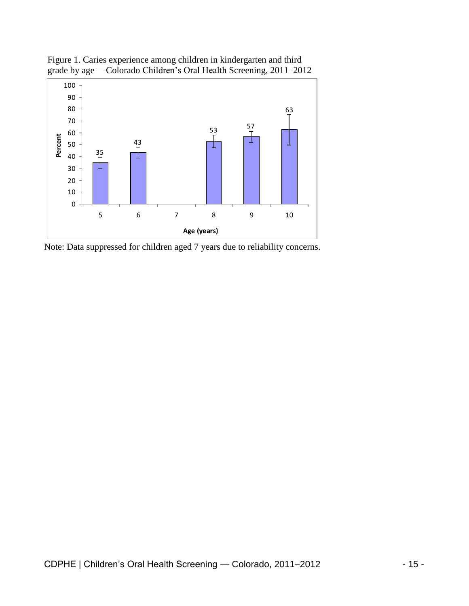



Note: Data suppressed for children aged 7 years due to reliability concerns.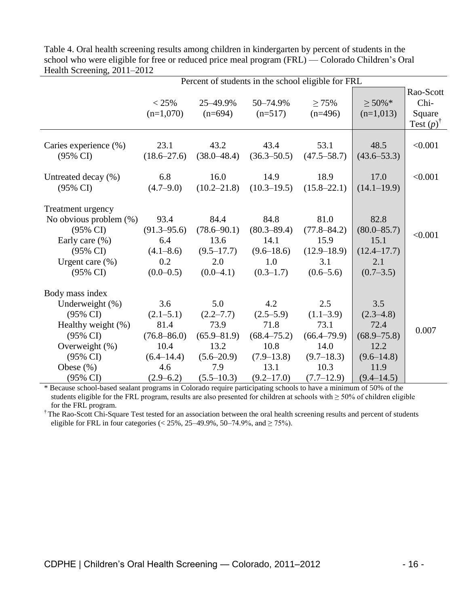|                          | Percent of students in the school eligible for FRL |                 |                 |                 |                 |                    |
|--------------------------|----------------------------------------------------|-----------------|-----------------|-----------------|-----------------|--------------------|
|                          |                                                    |                 |                 |                 |                 | Rao-Scott          |
|                          | $< 25\%$                                           | 25-49.9%        | 50-74.9%        | $\geq 75\%$     | $\geq 50\% *$   | Chi-               |
|                          | $(n=1,070)$                                        | $(n=694)$       | $(n=517)$       | $(n=496)$       | $(n=1,013)$     | Square             |
|                          |                                                    |                 |                 |                 |                 | Test $(p)^\dagger$ |
|                          |                                                    |                 |                 |                 |                 |                    |
| Caries experience (%)    | 23.1                                               | 43.2            | 43.4            | 53.1            | 48.5            | < 0.001            |
| $(95\% \text{ CI})$      | $(18.6 - 27.6)$                                    | $(38.0 - 48.4)$ | $(36.3 - 50.5)$ | $(47.5 - 58.7)$ | $(43.6 - 53.3)$ |                    |
| Untreated decay (%)      | 6.8                                                | 16.0            | 14.9            | 18.9            | 17.0            | < 0.001            |
| $(95\% \text{ CI})$      | $(4.7 - 9.0)$                                      | $(10.2 - 21.8)$ | $(10.3 - 19.5)$ | $(15.8 - 22.1)$ | $(14.1 - 19.9)$ |                    |
|                          |                                                    |                 |                 |                 |                 |                    |
| <b>Treatment urgency</b> |                                                    |                 |                 |                 |                 |                    |
| No obvious problem (%)   | 93.4                                               | 84.4            | 84.8            | 81.0            | 82.8            |                    |
| $(95\% \text{ CI})$      | $(91.3 - 95.6)$                                    | $(78.6 - 90.1)$ | $(80.3 - 89.4)$ | $(77.8 - 84.2)$ | $(80.0 - 85.7)$ |                    |
| Early care $(\%)$        | 6.4                                                | 13.6            | 14.1            | 15.9            | 15.1            | < 0.001            |
| $(95\% \text{ CI})$      | $(4.1 - 8.6)$                                      | $(9.5 - 17.7)$  | $(9.6 - 18.6)$  | $(12.9 - 18.9)$ | $(12.4 - 17.7)$ |                    |
| Urgent care $(\% )$      | 0.2                                                | 2.0             | 1.0             | 3.1             | 2.1             |                    |
| $(95\% \text{ CI})$      | $(0.0 - 0.5)$                                      | $(0.0-4.1)$     | $(0.3-1.7)$     | $(0.6 - 5.6)$   | $(0.7 - 3.5)$   |                    |
|                          |                                                    |                 |                 |                 |                 |                    |
| Body mass index          |                                                    |                 |                 |                 |                 |                    |
| Underweight (%)          | 3.6                                                | 5.0             | 4.2             | 2.5             | 3.5             |                    |
| $(95\% \text{ CI})$      | $(2.1 - 5.1)$                                      | $(2.2 - 7.7)$   | $(2.5 - 5.9)$   | $(1.1 - 3.9)$   | $(2.3 - 4.8)$   |                    |
| Healthy weight (%)       | 81.4                                               | 73.9            | 71.8            | 73.1            | 72.4            | 0.007              |
| $(95\% \text{ CI})$      | $(76.8 - 86.0)$                                    | $(65.9 - 81.9)$ | $(68.4 - 75.2)$ | $(66.4 - 79.9)$ | $(68.9 - 75.8)$ |                    |
| Overweight (%)           | 10.4                                               | 13.2            | 10.8            | 14.0            | 12.2            |                    |
| $(95\% \text{ CI})$      | (6.4–14.4)                                         | $(5.6 - 20.9)$  | $(7.9 - 13.8)$  | (9.7–18.3)      | $(9.6 - 14.8)$  |                    |
| Obese $(\%)$             | 4.6                                                | 7.9             | 13.1            | 10.3            | 11.9            |                    |
| (95% CI)                 | $(2.9 - 6.2)$                                      | $(5.5 - 10.3)$  | $(9.2 - 17.0)$  | $(7.7-12.9)$    | $(9.4 - 14.5)$  |                    |

Table 4. Oral health screening results among children in kindergarten by percent of students in the school who were eligible for free or reduced price meal program (FRL) — Colorado Children's Oral Health Screening, 2011–2012

\* Because school-based sealant programs in Colorado require participating schools to have a minimum of 50% of the students eligible for the FRL program, results are also presented for children at schools with ≥ 50% of children eligible for the FRL program.

 $\dagger$  The Rao-Scott Chi-Square Test tested for an association between the oral health screening results and percent of students eligible for FRL in four categories (< 25%, 25–49.9%, 50–74.9%, and  $\geq$  75%).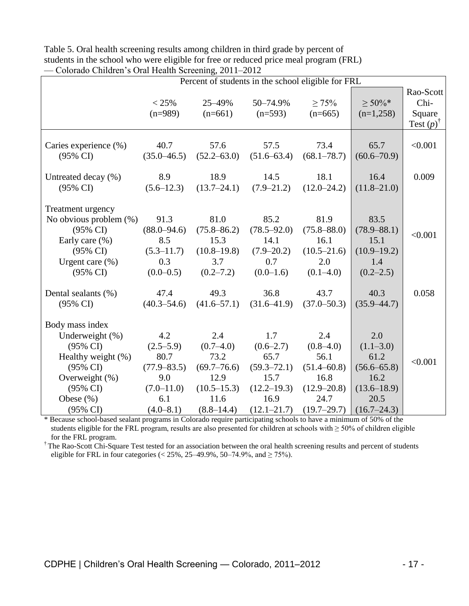| Colorado Children s'Oral Health Screening, 2011–2012                                                                                                              |                                                                                                  |                                                                                                      |                                                                                                       |                                                                                                       |                                                                                                       |                                                     |
|-------------------------------------------------------------------------------------------------------------------------------------------------------------------|--------------------------------------------------------------------------------------------------|------------------------------------------------------------------------------------------------------|-------------------------------------------------------------------------------------------------------|-------------------------------------------------------------------------------------------------------|-------------------------------------------------------------------------------------------------------|-----------------------------------------------------|
|                                                                                                                                                                   | Percent of students in the school eligible for FRL                                               |                                                                                                      |                                                                                                       |                                                                                                       |                                                                                                       |                                                     |
|                                                                                                                                                                   | $< 25\%$<br>$(n=989)$                                                                            | 25-49%<br>$(n=661)$                                                                                  | 50-74.9%<br>$(n=593)$                                                                                 | $\geq 75\%$<br>$(n=665)$                                                                              | $\geq 50\%$ *<br>$(n=1,258)$                                                                          | Rao-Scott<br>Chi-<br>Square<br>Test $(p)^{\dagger}$ |
| Caries experience (%)<br>(95% CI)                                                                                                                                 | 40.7<br>$(35.0 - 46.5)$                                                                          | 57.6<br>$(52.2 - 63.0)$                                                                              | 57.5<br>$(51.6 - 63.4)$                                                                               | 73.4<br>$(68.1 - 78.7)$                                                                               | 65.7<br>$(60.6 - 70.9)$                                                                               | < 0.001                                             |
| Untreated decay (%)<br>$(95\% \text{ CI})$                                                                                                                        | 8.9<br>$(5.6 - 12.3)$                                                                            | 18.9<br>$(13.7 - 24.1)$                                                                              | 14.5<br>$(7.9 - 21.2)$                                                                                | 18.1<br>$(12.0 - 24.2)$                                                                               | 16.4<br>$(11.8 - 21.0)$                                                                               | 0.009                                               |
| Treatment urgency<br>No obvious problem (%)<br>$(95\% \text{ CI})$<br>Early care $(\%)$<br>$(95\% \text{ CI})$<br>Urgent care $(\% )$<br>$(95\% \text{ CI})$      | 91.3<br>$(88.0 - 94.6)$<br>8.5<br>$(5.3 - 11.7)$<br>0.3<br>$(0.0-0.5)$                           | 81.0<br>$(75.8 - 86.2)$<br>15.3<br>$(10.8 - 19.8)$<br>3.7<br>$(0.2 - 7.2)$                           | 85.2<br>$(78.5 - 92.0)$<br>14.1<br>$(7.9 - 20.2)$<br>0.7<br>$(0.0-1.6)$                               | 81.9<br>$(75.8 - 88.0)$<br>16.1<br>$(10.5 - 21.6)$<br>2.0<br>$(0.1 - 4.0)$                            | 83.5<br>$(78.9 - 88.1)$<br>15.1<br>$(10.9 - 19.2)$<br>1.4<br>$(0.2 - 2.5)$                            | < 0.001                                             |
| Dental sealants (%)<br>$(95\% \text{ CI})$                                                                                                                        | 47.4<br>$(40.3 - 54.6)$                                                                          | 49.3<br>$(41.6 - 57.1)$                                                                              | 36.8<br>$(31.6 - 41.9)$                                                                               | 43.7<br>$(37.0 - 50.3)$                                                                               | 40.3<br>$(35.9 - 44.7)$                                                                               | 0.058                                               |
| Body mass index<br>Underweight (%)<br>$(95\% \text{ CI})$<br>Healthy weight (%)<br>$(95\% \text{ CI})$<br>Overweight (%)<br>(95% CI)<br>Obese $(\% )$<br>(95% CI) | 4.2<br>$(2.5 - 5.9)$<br>80.7<br>$(77.9 - 83.5)$<br>9.0<br>$(7.0 - 11.0)$<br>6.1<br>$(4.0 - 8.1)$ | 2.4<br>$(0.7 - 4.0)$<br>73.2<br>$(69.7 - 76.6)$<br>12.9<br>$(10.5 - 15.3)$<br>11.6<br>$(8.8 - 14.4)$ | 1.7<br>$(0.6 - 2.7)$<br>65.7<br>$(59.3 - 72.1)$<br>15.7<br>$(12.2 - 19.3)$<br>16.9<br>$(12.1 - 21.7)$ | 2.4<br>$(0.8 - 4.0)$<br>56.1<br>$(51.4 - 60.8)$<br>16.8<br>$(12.9 - 20.8)$<br>24.7<br>$(19.7 - 29.7)$ | 2.0<br>$(1.1 - 3.0)$<br>61.2<br>$(56.6 - 65.8)$<br>16.2<br>$(13.6 - 18.9)$<br>20.5<br>$(16.7 - 24.3)$ | < 0.001                                             |

Table 5. Oral health screening results among children in third grade by percent of students in the school who were eligible for free or reduced price meal program (FRL) — Colorado Children's Oral Health Screening, 2011–2012

\* Because school-based sealant programs in Colorado require participating schools to have a minimum of 50% of the students eligible for the FRL program, results are also presented for children at schools with  $\geq$  50% of children eligible for the FRL program.

<sup>†</sup> The Rao-Scott Chi-Square Test tested for an association between the oral health screening results and percent of students eligible for FRL in four categories (<  $25\%$ ,  $25-49.9\%$ ,  $50-74.9\%$ , and  $\geq 75\%$ ).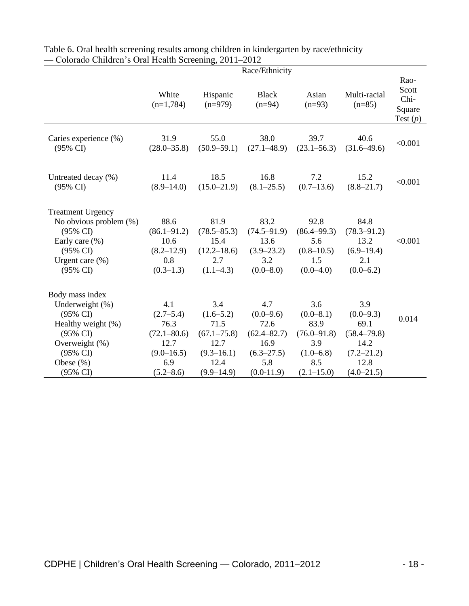|                                                                                                                                                                  | Race/Ethnicity                                                                                    |                                                                                                     |                                                                                                  |                                                                                                |                                                                                                     |                                               |
|------------------------------------------------------------------------------------------------------------------------------------------------------------------|---------------------------------------------------------------------------------------------------|-----------------------------------------------------------------------------------------------------|--------------------------------------------------------------------------------------------------|------------------------------------------------------------------------------------------------|-----------------------------------------------------------------------------------------------------|-----------------------------------------------|
|                                                                                                                                                                  | White<br>$(n=1,784)$                                                                              | Hispanic<br>$(n=979)$                                                                               | <b>Black</b><br>$(n=94)$                                                                         | Asian<br>$(n=93)$                                                                              | Multi-racial<br>$(n=85)$                                                                            | Rao-<br>Scott<br>Chi-<br>Square<br>Test $(p)$ |
| Caries experience (%)<br>(95% CI)                                                                                                                                | 31.9<br>$(28.0 - 35.8)$                                                                           | 55.0<br>$(50.9 - 59.1)$                                                                             | 38.0<br>$(27.1 - 48.9)$                                                                          | 39.7<br>$(23.1 - 56.3)$                                                                        | 40.6<br>$(31.6 - 49.6)$                                                                             | < 0.001                                       |
| Untreated decay (%)<br>(95% CI)                                                                                                                                  | 11.4<br>$(8.9 - 14.0)$                                                                            | 18.5<br>$(15.0 - 21.9)$                                                                             | 16.8<br>$(8.1 - 25.5)$                                                                           | 7.2<br>$(0.7-13.6)$                                                                            | 15.2<br>$(8.8 - 21.7)$                                                                              | < 0.001                                       |
| <b>Treatment Urgency</b><br>No obvious problem (%)<br>(95% CI)<br>Early care $(\% )$<br>(95% CI)<br>Urgent care $(\% )$<br>(95% CI)                              | 88.6<br>$(86.1 - 91.2)$<br>10.6<br>$(8.2 - 12.9)$<br>0.8<br>$(0.3-1.3)$                           | 81.9<br>$(78.5 - 85.3)$<br>15.4<br>$(12.2 - 18.6)$<br>2.7<br>$(1.1-4.3)$                            | 83.2<br>$(74.5 - 91.9)$<br>13.6<br>$(3.9 - 23.2)$<br>3.2<br>$(0.0 - 8.0)$                        | 92.8<br>$(86.4 - 99.3)$<br>5.6<br>$(0.8 - 10.5)$<br>1.5<br>$(0.0-4.0)$                         | 84.8<br>$(78.3 - 91.2)$<br>13.2<br>$(6.9 - 19.4)$<br>2.1<br>$(0.0-6.2)$                             | < 0.001                                       |
| Body mass index<br>Underweight (%)<br>(95% CI)<br>Healthy weight (%)<br>(95% CI)<br>Overweight (%)<br>$(95\% \text{ CI})$<br>Obese $(\%)$<br>$(95\% \text{ CI})$ | 4.1<br>$(2.7 - 5.4)$<br>76.3<br>$(72.1 - 80.6)$<br>12.7<br>$(9.0 - 16.5)$<br>6.9<br>$(5.2 - 8.6)$ | 3.4<br>$(1.6 - 5.2)$<br>71.5<br>$(67.1 - 75.8)$<br>12.7<br>$(9.3 - 16.1)$<br>12.4<br>$(9.9 - 14.9)$ | 4.7<br>$(0.0 - 9.6)$<br>72.6<br>$(62.4 - 82.7)$<br>16.9<br>$(6.3 - 27.5)$<br>5.8<br>$(0.0-11.9)$ | 3.6<br>$(0.0 - 8.1)$<br>83.9<br>$(76.0 - 91.8)$<br>3.9<br>$(1.0-6.8)$<br>8.5<br>$(2.1 - 15.0)$ | 3.9<br>$(0.0 - 9.3)$<br>69.1<br>$(58.4 - 79.8)$<br>14.2<br>$(7.2 - 21.2)$<br>12.8<br>$(4.0 - 21.5)$ | 0.014                                         |

Table 6. Oral health screening results among children in kindergarten by race/ethnicity — Colorado Children's Oral Health Screening, 2011–2012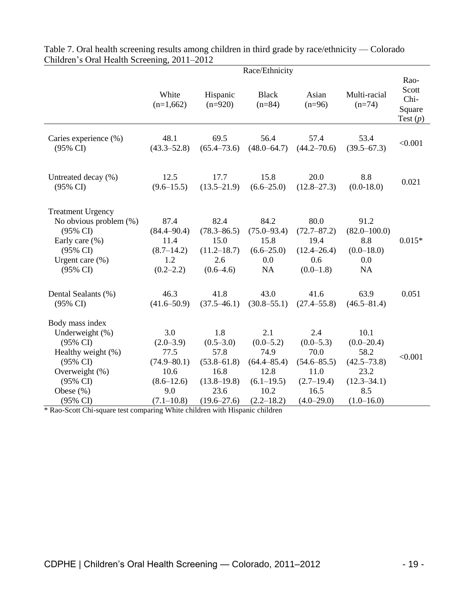|                                                                                                                                                       |                                                                                                    |                                                                                                       | Race/Ethnicity                                                                                      |                                                                                                   |                                                                                                       |                                               |
|-------------------------------------------------------------------------------------------------------------------------------------------------------|----------------------------------------------------------------------------------------------------|-------------------------------------------------------------------------------------------------------|-----------------------------------------------------------------------------------------------------|---------------------------------------------------------------------------------------------------|-------------------------------------------------------------------------------------------------------|-----------------------------------------------|
|                                                                                                                                                       | White<br>$(n=1,662)$                                                                               | Hispanic<br>$(n=920)$                                                                                 | <b>Black</b><br>$(n=84)$                                                                            | Asian<br>$(n=96)$                                                                                 | Multi-racial<br>$(n=74)$                                                                              | Rao-<br>Scott<br>Chi-<br>Square<br>Test $(p)$ |
| Caries experience (%)<br>(95% CI)                                                                                                                     | 48.1<br>$(43.3 - 52.8)$                                                                            | 69.5<br>$(65.4 - 73.6)$                                                                               | 56.4<br>$(48.0 - 64.7)$                                                                             | 57.4<br>$(44.2 - 70.6)$                                                                           | 53.4<br>$(39.5 - 67.3)$                                                                               | < 0.001                                       |
| Untreated decay (%)<br>(95% CI)                                                                                                                       | 12.5<br>$(9.6 - 15.5)$                                                                             | 17.7<br>$(13.5 - 21.9)$                                                                               | 15.8<br>$(6.6 - 25.0)$                                                                              | 20.0<br>$(12.8 - 27.3)$                                                                           | 8.8<br>$(0.0-18.0)$                                                                                   | 0.021                                         |
| <b>Treatment Urgency</b><br>No obvious problem (%)<br>$(95\% \text{ CI})$<br>Early care (%)<br>$(95\% \text{ CI})$<br>Urgent care $(\% )$<br>(95% CI) | 87.4<br>$(84.4 - 90.4)$<br>11.4<br>$(8.7 - 14.2)$<br>1.2<br>$(0.2 - 2.2)$                          | 82.4<br>$(78.3 - 86.5)$<br>15.0<br>$(11.2 - 18.7)$<br>2.6<br>$(0.6-4.6)$                              | 84.2<br>$(75.0 - 93.4)$<br>15.8<br>$(6.6 - 25.0)$<br>0.0<br><b>NA</b>                               | 80.0<br>$(72.7 - 87.2)$<br>19.4<br>$(12.4 - 26.4)$<br>0.6<br>$(0.0-1.8)$                          | 91.2<br>$(82.0 - 100.0)$<br>8.8<br>$(0.0 - 18.0)$<br>0.0<br><b>NA</b>                                 | $0.015*$                                      |
| Dental Sealants (%)<br>$(95\% \text{ CI})$                                                                                                            | 46.3<br>$(41.6 - 50.9)$                                                                            | 41.8<br>$(37.5 - 46.1)$                                                                               | 43.0<br>$(30.8 - 55.1)$                                                                             | 41.6<br>$(27.4 - 55.8)$                                                                           | 63.9<br>$(46.5 - 81.4)$                                                                               | 0.051                                         |
| Body mass index<br>Underweight (%)<br>(95% CI)<br>Healthy weight (%)<br>(95% CI)<br>Overweight (%)<br>$(95\% \text{ CI})$<br>Obese $(\%)$<br>(95% CI) | 3.0<br>$(2.0 - 3.9)$<br>77.5<br>$(74.9 - 80.1)$<br>10.6<br>$(8.6 - 12.6)$<br>9.0<br>$(7.1 - 10.8)$ | 1.8<br>$(0.5 - 3.0)$<br>57.8<br>$(53.8 - 61.8)$<br>16.8<br>$(13.8 - 19.8)$<br>23.6<br>$(19.6 - 27.6)$ | 2.1<br>$(0.0 - 5.2)$<br>74.9<br>$(64.4 - 85.4)$<br>12.8<br>$(6.1 - 19.5)$<br>10.2<br>$(2.2 - 18.2)$ | 2.4<br>$(0.0 - 5.3)$<br>70.0<br>$(54.6 - 85.5)$<br>11.0<br>$(2.7-19.4)$<br>16.5<br>$(4.0 - 29.0)$ | 10.1<br>$(0.0 - 20.4)$<br>58.2<br>$(42.5 - 73.8)$<br>23.2<br>$(12.3 - 34.1)$<br>8.5<br>$(1.0 - 16.0)$ | < 0.001                                       |

Table 7. Oral health screening results among children in third grade by race/ethnicity — Colorado Children's Oral Health Screening, 2011–2012

\* Rao-Scott Chi-square test comparing White children with Hispanic children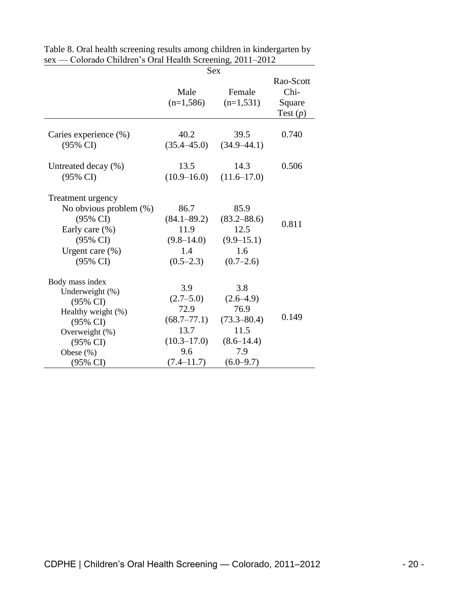|                                                                                                                                                                              | Sex                                                                                                 |                                                                                                   |                                           |
|------------------------------------------------------------------------------------------------------------------------------------------------------------------------------|-----------------------------------------------------------------------------------------------------|---------------------------------------------------------------------------------------------------|-------------------------------------------|
|                                                                                                                                                                              | Male<br>$(n=1,586)$                                                                                 | Female<br>$(n=1,531)$                                                                             | Rao-Scott<br>Chi-<br>Square<br>Test $(p)$ |
| Caries experience (%)<br>$(95\% \text{ CI})$                                                                                                                                 | 40.2<br>$(35.4 - 45.0)$                                                                             | 39.5<br>$(34.9 - 44.1)$                                                                           | 0.740                                     |
| Untreated decay (%)<br>(95% CI)                                                                                                                                              | 13.5<br>$(10.9 - 16.0)$                                                                             | 14.3<br>$(11.6 - 17.0)$                                                                           | 0.506                                     |
| Treatment urgency<br>No obvious problem (%)<br>$(95\% \text{ CI})$<br>Early care $(\% )$<br>(95% CI)<br>Urgent care $(\% )$<br>$(95\% \text{ CI})$                           | 86.7<br>$(84.1 - 89.2)$<br>11.9<br>$(9.8 - 14.0)$<br>1.4<br>$(0.5-2.3)$                             | 85.9<br>$(83.2 - 88.6)$<br>12.5<br>$(9.9 - 15.1)$<br>1.6<br>(0.7–2.6)                             | 0.811                                     |
| Body mass index<br>Underweight (%)<br>$(95\% \text{ CI})$<br>Healthy weight (%)<br>$(95\% \text{ CI})$<br>Overweight (%)<br>(95% CI)<br>Obese $(\% )$<br>$(95\% \text{ CI})$ | 3.9<br>$(2.7 - 5.0)$<br>72.9<br>$(68.7 - 77.1)$<br>13.7<br>$(10.3 - 17.0)$<br>9.6<br>$(7.4 - 11.7)$ | 3.8<br>$(2.6 - 4.9)$<br>76.9<br>$(73.3 - 80.4)$<br>11.5<br>$(8.6 - 14.4)$<br>7.9<br>$(6.0 - 9.7)$ | 0.149                                     |

Table 8. Oral health screening results among children in kindergarten by sex — Colorado Children's Oral Health Screening, 2011–2012  $\overline{\phantom{a}}$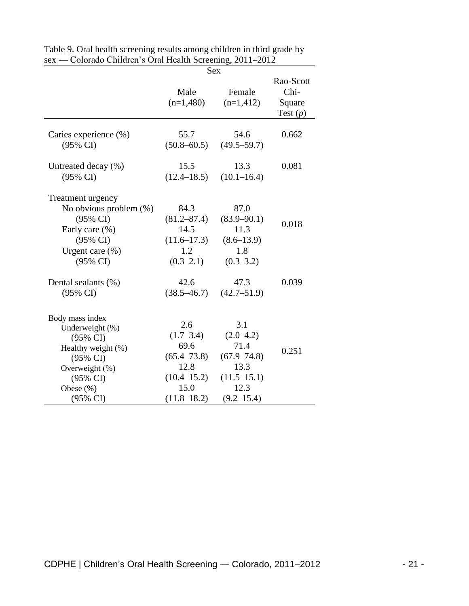|                                                                                                                                                                             | <b>Sex</b>                                                                                          |                                                                                                    |                                           |
|-----------------------------------------------------------------------------------------------------------------------------------------------------------------------------|-----------------------------------------------------------------------------------------------------|----------------------------------------------------------------------------------------------------|-------------------------------------------|
|                                                                                                                                                                             | Male<br>$(n=1,480)$                                                                                 | Female<br>$(n=1,412)$                                                                              | Rao-Scott<br>Chi-<br>Square<br>Test $(p)$ |
| Caries experience (%)<br>$(95\% \text{ CI})$                                                                                                                                | 55.7<br>$(50.8 - 60.5)$                                                                             | 54.6<br>$(49.5 - 59.7)$                                                                            | 0.662                                     |
| Untreated decay (%)<br>$(95\% \text{ CI})$                                                                                                                                  | 15.5<br>$(12.4 - 18.5)$                                                                             | 13.3<br>$(10.1 - 16.4)$                                                                            | 0.081                                     |
| Treatment urgency<br>No obvious problem (%)<br>$(95\% \text{ CI})$<br>Early care $(\%)$<br>(95% CI)<br>Urgent care $(\% )$<br>$(95\% \text{ CI})$                           | 84.3<br>$(81.2 - 87.4)$<br>14.5<br>$(11.6 - 17.3)$<br>1.2<br>$(0.3-2.1)$                            | 87.0<br>$(83.9 - 90.1)$<br>11.3<br>$(8.6 - 13.9)$<br>1.8<br>$(0.3 - 3.2)$                          | 0.018                                     |
| Dental sealants (%)<br>$(95\% \text{ CI})$                                                                                                                                  | 42.6<br>$(38.5 - 46.7)$                                                                             | 47.3<br>$(42.7 - 51.9)$                                                                            | 0.039                                     |
| Body mass index<br>Underweight (%)<br>$(95\% \text{ CI})$<br>Healthy weight (%)<br>(95% CI)<br>Overweight (%)<br>$(95\% \text{ CI})$<br>Obese $(\%)$<br>$(95\% \text{ CI})$ | 2.6<br>$(1.7-3.4)$<br>69.6<br>$(65.4 - 73.8)$<br>12.8<br>$(10.4 - 15.2)$<br>15.0<br>$(11.8 - 18.2)$ | 3.1<br>$(2.0-4.2)$<br>71.4<br>$(67.9 - 74.8)$<br>13.3<br>$(11.5 - 15.1)$<br>12.3<br>$(9.2 - 15.4)$ | 0.251                                     |

Table 9. Oral health screening results among children in third grade by sex — Colorado Children's Oral Health Screening, 2011–2012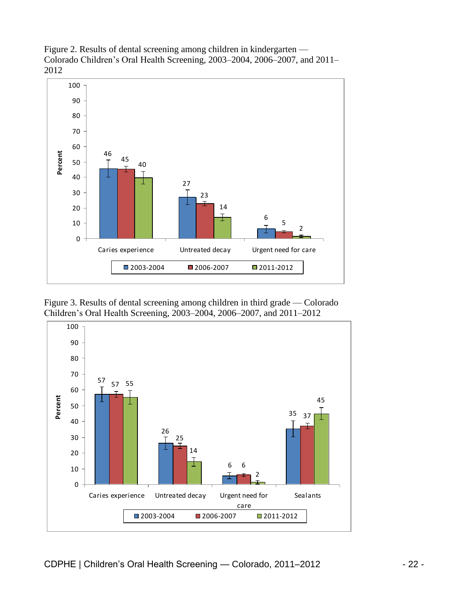





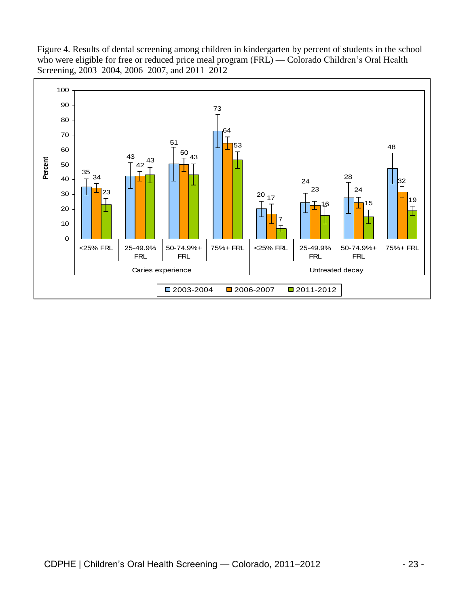Figure 4. Results of dental screening among children in kindergarten by percent of students in the school who were eligible for free or reduced price meal program (FRL) — Colorado Children's Oral Health Screening, 2003–2004, 2006–2007, and 2011–2012

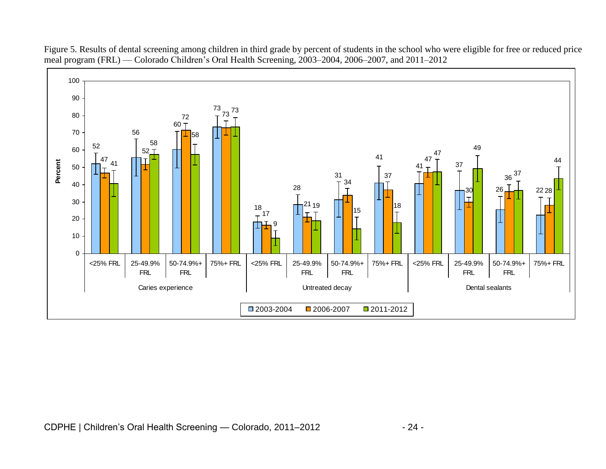

Figure 5. Results of dental screening among children in third grade by percent of students in the school who were eligible for free or reduced price meal program (FRL) — Colorado Children's Oral Health Screening, 2003–2004, 2006–2007, and 2011–2012